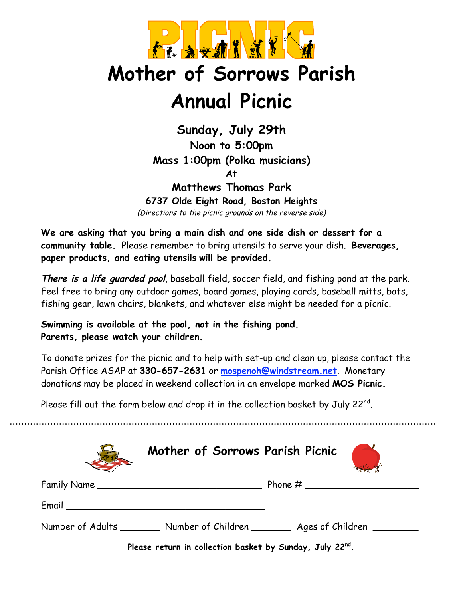

## **Mother of Sorrows Parish Annual Picnic**

**Sunday, July 29th Noon to 5:00pm Mass 1:00pm (Polka musicians)**

**At**

## **Matthews Thomas Park**

**6737 Olde Eight Road, Boston Heights**

(Directions to the picnic grounds on the reverse side)

**We are asking that you bring a main dish and one side dish or dessert for a community table.** Please remember to bring utensils to serve your dish. **Beverages, paper products, and eating utensils will be provided.**

**There is <sup>a</sup> life guarded pool**, baseball field, soccer field, and fishing pond at the park. Feel free to bring any outdoor games, board games, playing cards, baseball mitts, bats, fishing gear, lawn chairs, blankets, and whatever else might be needed for a picnic.

**Swimming is available at the pool, not in the fishing pond. Parents, please watch your children.**

To donate prizes for the picnic and to help with set-up and clean up, please contact the Parish Office ASAP at **330-657-2631** or **mospenoh@windstream.net**. Monetary donations may be placed in weekend collection in an envelope marked **MOS Picnic.**

Please fill out the form below and drop it in the collection basket by July 22 $^{\mathsf{nd}}$ .

|                                                          | Mother of Sorrows Parish Picnic |                                                                                   |
|----------------------------------------------------------|---------------------------------|-----------------------------------------------------------------------------------|
|                                                          | Family Name                     |                                                                                   |
|                                                          |                                 |                                                                                   |
|                                                          |                                 | Number of Adults __________ Number of Children _________ Ages of Children _______ |
| Please return in collection basket by Sunday, July 22nd. |                                 |                                                                                   |